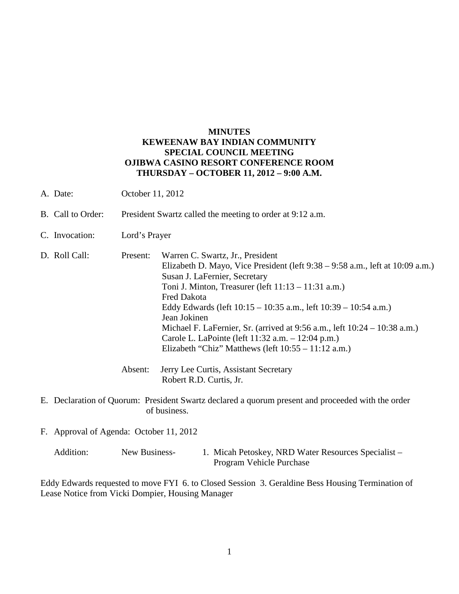## **MINUTES KEWEENAW BAY INDIAN COMMUNITY SPECIAL COUNCIL MEETING OJIBWA CASINO RESORT CONFERENCE ROOM THURSDAY – OCTOBER 11, 2012 – 9:00 A.M.**

- A. Date: October 11, 2012
- B. Call to Order: President Swartz called the meeting to order at 9:12 a.m.
- C. Invocation: Lord's Prayer
- D. Roll Call: Present: Warren C. Swartz, Jr., President Elizabeth D. Mayo, Vice President (left 9:38 – 9:58 a.m., left at 10:09 a.m.) Susan J. LaFernier, Secretary Toni J. Minton, Treasurer (left 11:13 – 11:31 a.m.) Fred Dakota Eddy Edwards (left 10:15 – 10:35 a.m., left 10:39 – 10:54 a.m.) Jean Jokinen Michael F. LaFernier, Sr. (arrived at 9:56 a.m., left 10:24 – 10:38 a.m.) Carole L. LaPointe (left 11:32 a.m. – 12:04 p.m.) Elizabeth "Chiz" Matthews (left 10:55 – 11:12 a.m.) Absent: Jerry Lee Curtis, Assistant Secretary
	- Robert R.D. Curtis, Jr.
- E. Declaration of Quorum: President Swartz declared a quorum present and proceeded with the order of business.
- F. Approval of Agenda: October 11, 2012
	- Addition: New Business- 1. Micah Petoskey, NRD Water Resources Specialist Program Vehicle Purchase

Eddy Edwards requested to move FYI 6. to Closed Session 3. Geraldine Bess Housing Termination of Lease Notice from Vicki Dompier, Housing Manager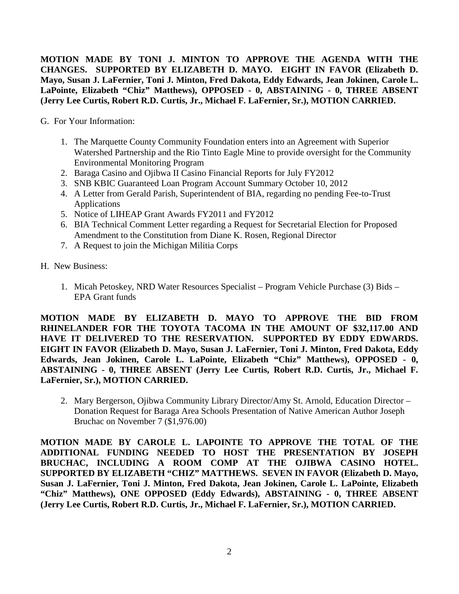**MOTION MADE BY TONI J. MINTON TO APPROVE THE AGENDA WITH THE CHANGES. SUPPORTED BY ELIZABETH D. MAYO. EIGHT IN FAVOR (Elizabeth D. Mayo, Susan J. LaFernier, Toni J. Minton, Fred Dakota, Eddy Edwards, Jean Jokinen, Carole L. LaPointe, Elizabeth "Chiz" Matthews), OPPOSED - 0, ABSTAINING - 0, THREE ABSENT (Jerry Lee Curtis, Robert R.D. Curtis, Jr., Michael F. LaFernier, Sr.), MOTION CARRIED.**

G. For Your Information:

- 1. The Marquette County Community Foundation enters into an Agreement with Superior Watershed Partnership and the Rio Tinto Eagle Mine to provide oversight for the Community Environmental Monitoring Program
- 2. Baraga Casino and Ojibwa II Casino Financial Reports for July FY2012
- 3. SNB KBIC Guaranteed Loan Program Account Summary October 10, 2012
- 4. A Letter from Gerald Parish, Superintendent of BIA, regarding no pending Fee-to-Trust Applications
- 5. Notice of LIHEAP Grant Awards FY2011 and FY2012
- 6. BIA Technical Comment Letter regarding a Request for Secretarial Election for Proposed Amendment to the Constitution from Diane K. Rosen, Regional Director
- 7. A Request to join the Michigan Militia Corps

H. New Business:

1. Micah Petoskey, NRD Water Resources Specialist – Program Vehicle Purchase (3) Bids – EPA Grant funds

**MOTION MADE BY ELIZABETH D. MAYO TO APPROVE THE BID FROM RHINELANDER FOR THE TOYOTA TACOMA IN THE AMOUNT OF \$32,117.00 AND HAVE IT DELIVERED TO THE RESERVATION. SUPPORTED BY EDDY EDWARDS. EIGHT IN FAVOR (Elizabeth D. Mayo, Susan J. LaFernier, Toni J. Minton, Fred Dakota, Eddy Edwards, Jean Jokinen, Carole L. LaPointe, Elizabeth "Chiz" Matthews), OPPOSED - 0, ABSTAINING - 0, THREE ABSENT (Jerry Lee Curtis, Robert R.D. Curtis, Jr., Michael F. LaFernier, Sr.), MOTION CARRIED.**

2. Mary Bergerson, Ojibwa Community Library Director/Amy St. Arnold, Education Director – Donation Request for Baraga Area Schools Presentation of Native American Author Joseph Bruchac on November 7 (\$1,976.00)

**MOTION MADE BY CAROLE L. LAPOINTE TO APPROVE THE TOTAL OF THE ADDITIONAL FUNDING NEEDED TO HOST THE PRESENTATION BY JOSEPH BRUCHAC, INCLUDING A ROOM COMP AT THE OJIBWA CASINO HOTEL. SUPPORTED BY ELIZABETH "CHIZ" MATTHEWS. SEVEN IN FAVOR (Elizabeth D. Mayo, Susan J. LaFernier, Toni J. Minton, Fred Dakota, Jean Jokinen, Carole L. LaPointe, Elizabeth "Chiz" Matthews), ONE OPPOSED (Eddy Edwards), ABSTAINING - 0, THREE ABSENT (Jerry Lee Curtis, Robert R.D. Curtis, Jr., Michael F. LaFernier, Sr.), MOTION CARRIED.**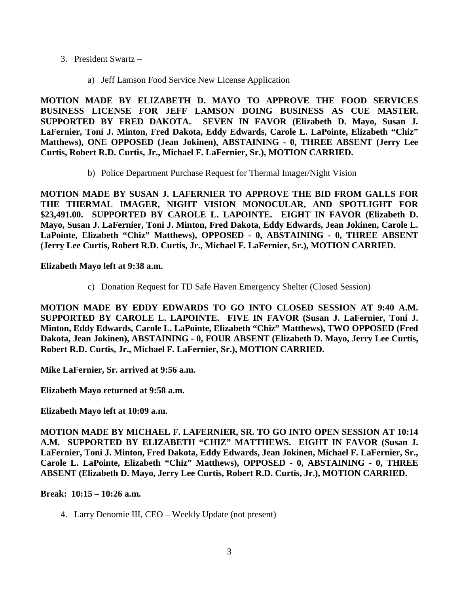- 3. President Swartz
	- a) Jeff Lamson Food Service New License Application

**MOTION MADE BY ELIZABETH D. MAYO TO APPROVE THE FOOD SERVICES BUSINESS LICENSE FOR JEFF LAMSON DOING BUSINESS AS CUE MASTER. SUPPORTED BY FRED DAKOTA. SEVEN IN FAVOR (Elizabeth D. Mayo, Susan J. LaFernier, Toni J. Minton, Fred Dakota, Eddy Edwards, Carole L. LaPointe, Elizabeth "Chiz" Matthews), ONE OPPOSED (Jean Jokinen), ABSTAINING - 0, THREE ABSENT (Jerry Lee Curtis, Robert R.D. Curtis, Jr., Michael F. LaFernier, Sr.), MOTION CARRIED.**

b) Police Department Purchase Request for Thermal Imager/Night Vision

**MOTION MADE BY SUSAN J. LAFERNIER TO APPROVE THE BID FROM GALLS FOR THE THERMAL IMAGER, NIGHT VISION MONOCULAR, AND SPOTLIGHT FOR \$23,491.00. SUPPORTED BY CAROLE L. LAPOINTE. EIGHT IN FAVOR (Elizabeth D. Mayo, Susan J. LaFernier, Toni J. Minton, Fred Dakota, Eddy Edwards, Jean Jokinen, Carole L. LaPointe, Elizabeth "Chiz" Matthews), OPPOSED - 0, ABSTAINING - 0, THREE ABSENT (Jerry Lee Curtis, Robert R.D. Curtis, Jr., Michael F. LaFernier, Sr.), MOTION CARRIED.**

**Elizabeth Mayo left at 9:38 a.m.** 

c) Donation Request for TD Safe Haven Emergency Shelter (Closed Session)

**MOTION MADE BY EDDY EDWARDS TO GO INTO CLOSED SESSION AT 9:40 A.M. SUPPORTED BY CAROLE L. LAPOINTE. FIVE IN FAVOR (Susan J. LaFernier, Toni J. Minton, Eddy Edwards, Carole L. LaPointe, Elizabeth "Chiz" Matthews), TWO OPPOSED (Fred Dakota, Jean Jokinen), ABSTAINING - 0, FOUR ABSENT (Elizabeth D. Mayo, Jerry Lee Curtis, Robert R.D. Curtis, Jr., Michael F. LaFernier, Sr.), MOTION CARRIED.**

**Mike LaFernier, Sr. arrived at 9:56 a.m.** 

**Elizabeth Mayo returned at 9:58 a.m.** 

**Elizabeth Mayo left at 10:09 a.m.** 

**MOTION MADE BY MICHAEL F. LAFERNIER, SR. TO GO INTO OPEN SESSION AT 10:14 A.M. SUPPORTED BY ELIZABETH "CHIZ" MATTHEWS. EIGHT IN FAVOR (Susan J. LaFernier, Toni J. Minton, Fred Dakota, Eddy Edwards, Jean Jokinen, Michael F. LaFernier, Sr., Carole L. LaPointe, Elizabeth "Chiz" Matthews), OPPOSED - 0, ABSTAINING - 0, THREE ABSENT (Elizabeth D. Mayo, Jerry Lee Curtis, Robert R.D. Curtis, Jr.), MOTION CARRIED.**

**Break: 10:15 – 10:26 a.m.** 

4. Larry Denomie III, CEO – Weekly Update (not present)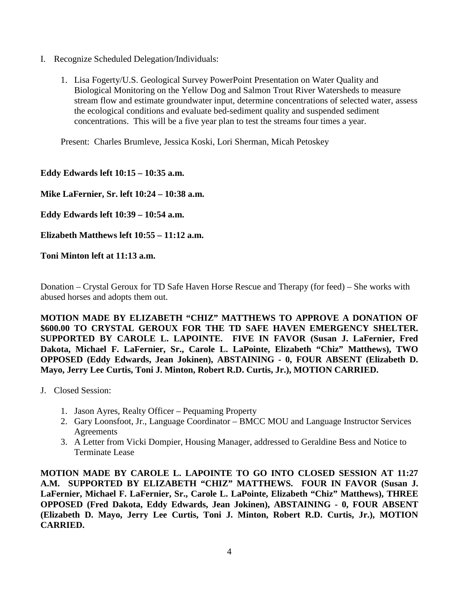- I. Recognize Scheduled Delegation/Individuals:
	- 1. Lisa Fogerty/U.S. Geological Survey PowerPoint Presentation on Water Quality and Biological Monitoring on the Yellow Dog and Salmon Trout River Watersheds to measure stream flow and estimate groundwater input, determine concentrations of selected water, assess the ecological conditions and evaluate bed-sediment quality and suspended sediment concentrations. This will be a five year plan to test the streams four times a year.

Present: Charles Brumleve, Jessica Koski, Lori Sherman, Micah Petoskey

**Eddy Edwards left 10:15 – 10:35 a.m.** 

**Mike LaFernier, Sr. left 10:24 – 10:38 a.m.** 

**Eddy Edwards left 10:39 – 10:54 a.m.** 

**Elizabeth Matthews left 10:55 – 11:12 a.m.** 

**Toni Minton left at 11:13 a.m.** 

Donation – Crystal Geroux for TD Safe Haven Horse Rescue and Therapy (for feed) – She works with abused horses and adopts them out.

**MOTION MADE BY ELIZABETH "CHIZ" MATTHEWS TO APPROVE A DONATION OF \$600.00 TO CRYSTAL GEROUX FOR THE TD SAFE HAVEN EMERGENCY SHELTER. SUPPORTED BY CAROLE L. LAPOINTE. FIVE IN FAVOR (Susan J. LaFernier, Fred Dakota, Michael F. LaFernier, Sr., Carole L. LaPointe, Elizabeth "Chiz" Matthews), TWO OPPOSED (Eddy Edwards, Jean Jokinen), ABSTAINING - 0, FOUR ABSENT (Elizabeth D. Mayo, Jerry Lee Curtis, Toni J. Minton, Robert R.D. Curtis, Jr.), MOTION CARRIED.**

- J. Closed Session:
	- 1. Jason Ayres, Realty Officer Pequaming Property
	- 2. Gary Loonsfoot, Jr., Language Coordinator BMCC MOU and Language Instructor Services Agreements
	- 3. A Letter from Vicki Dompier, Housing Manager, addressed to Geraldine Bess and Notice to Terminate Lease

**MOTION MADE BY CAROLE L. LAPOINTE TO GO INTO CLOSED SESSION AT 11:27 A.M. SUPPORTED BY ELIZABETH "CHIZ" MATTHEWS. FOUR IN FAVOR (Susan J. LaFernier, Michael F. LaFernier, Sr., Carole L. LaPointe, Elizabeth "Chiz" Matthews), THREE OPPOSED (Fred Dakota, Eddy Edwards, Jean Jokinen), ABSTAINING - 0, FOUR ABSENT (Elizabeth D. Mayo, Jerry Lee Curtis, Toni J. Minton, Robert R.D. Curtis, Jr.), MOTION CARRIED.**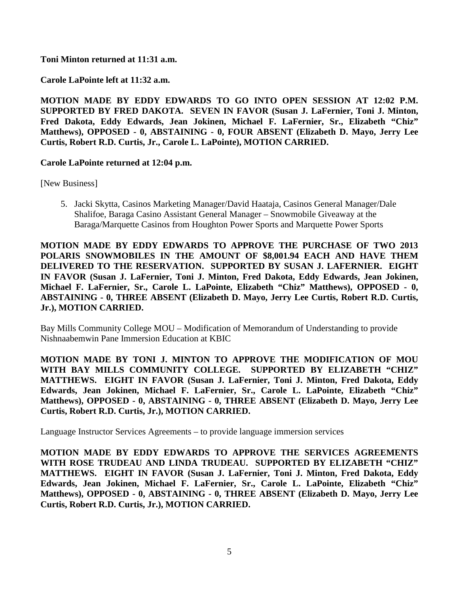**Toni Minton returned at 11:31 a.m.**

## **Carole LaPointe left at 11:32 a.m.**

**MOTION MADE BY EDDY EDWARDS TO GO INTO OPEN SESSION AT 12:02 P.M. SUPPORTED BY FRED DAKOTA. SEVEN IN FAVOR (Susan J. LaFernier, Toni J. Minton, Fred Dakota, Eddy Edwards, Jean Jokinen, Michael F. LaFernier, Sr., Elizabeth "Chiz" Matthews), OPPOSED - 0, ABSTAINING - 0, FOUR ABSENT (Elizabeth D. Mayo, Jerry Lee Curtis, Robert R.D. Curtis, Jr., Carole L. LaPointe), MOTION CARRIED.**

## **Carole LaPointe returned at 12:04 p.m.**

[New Business]

5. Jacki Skytta, Casinos Marketing Manager/David Haataja, Casinos General Manager/Dale Shalifoe, Baraga Casino Assistant General Manager – Snowmobile Giveaway at the Baraga/Marquette Casinos from Houghton Power Sports and Marquette Power Sports

**MOTION MADE BY EDDY EDWARDS TO APPROVE THE PURCHASE OF TWO 2013 POLARIS SNOWMOBILES IN THE AMOUNT OF \$8,001.94 EACH AND HAVE THEM DELIVERED TO THE RESERVATION. SUPPORTED BY SUSAN J. LAFERNIER. EIGHT IN FAVOR (Susan J. LaFernier, Toni J. Minton, Fred Dakota, Eddy Edwards, Jean Jokinen, Michael F. LaFernier, Sr., Carole L. LaPointe, Elizabeth "Chiz" Matthews), OPPOSED - 0, ABSTAINING - 0, THREE ABSENT (Elizabeth D. Mayo, Jerry Lee Curtis, Robert R.D. Curtis, Jr.), MOTION CARRIED.**

Bay Mills Community College MOU – Modification of Memorandum of Understanding to provide Nishnaabemwin Pane Immersion Education at KBIC

**MOTION MADE BY TONI J. MINTON TO APPROVE THE MODIFICATION OF MOU WITH BAY MILLS COMMUNITY COLLEGE. SUPPORTED BY ELIZABETH "CHIZ" MATTHEWS. EIGHT IN FAVOR (Susan J. LaFernier, Toni J. Minton, Fred Dakota, Eddy Edwards, Jean Jokinen, Michael F. LaFernier, Sr., Carole L. LaPointe, Elizabeth "Chiz" Matthews), OPPOSED - 0, ABSTAINING - 0, THREE ABSENT (Elizabeth D. Mayo, Jerry Lee Curtis, Robert R.D. Curtis, Jr.), MOTION CARRIED.**

Language Instructor Services Agreements – to provide language immersion services

**MOTION MADE BY EDDY EDWARDS TO APPROVE THE SERVICES AGREEMENTS WITH ROSE TRUDEAU AND LINDA TRUDEAU. SUPPORTED BY ELIZABETH "CHIZ" MATTHEWS. EIGHT IN FAVOR (Susan J. LaFernier, Toni J. Minton, Fred Dakota, Eddy Edwards, Jean Jokinen, Michael F. LaFernier, Sr., Carole L. LaPointe, Elizabeth "Chiz" Matthews), OPPOSED - 0, ABSTAINING - 0, THREE ABSENT (Elizabeth D. Mayo, Jerry Lee Curtis, Robert R.D. Curtis, Jr.), MOTION CARRIED.**